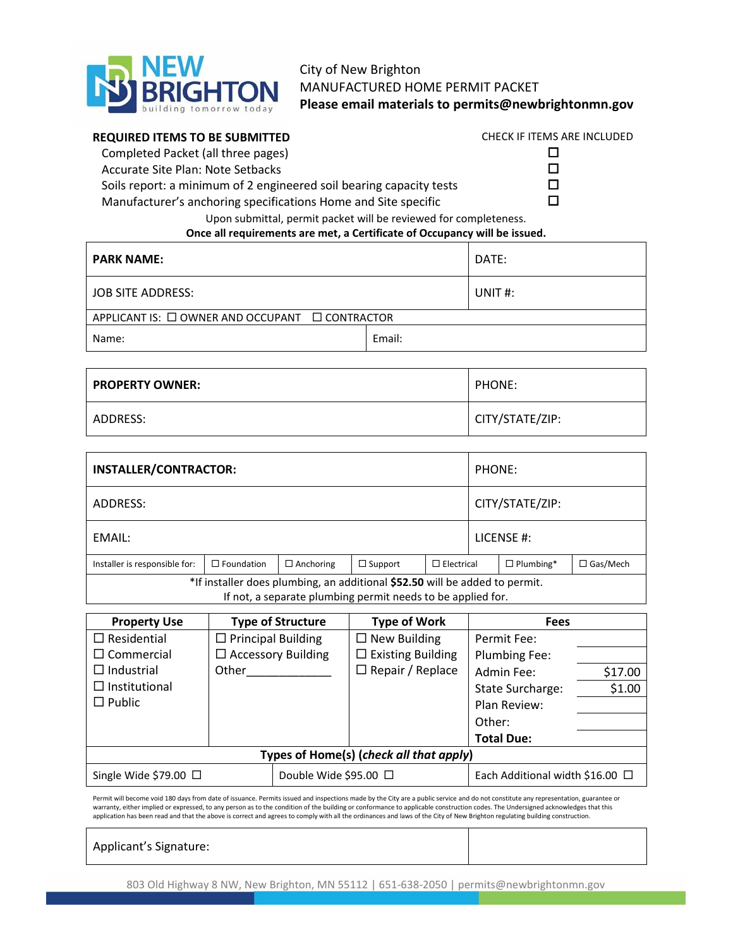

## City of New Brighton MANUFACTURED HOME PERMIT PACKET **Please email materials to permits@newbrightonmn.gov**

| <b>CHECK IF ITEMS ARE INCLUDED</b> |
|------------------------------------|
|                                    |
|                                    |
|                                    |
|                                    |
|                                    |

Upon submittal, permit packet will be reviewed for completeness. **Once all requirements are met, a Certificate of Occupancy will be issued.**

**PARK NAME:**  $\qquad \qquad$  DATE:

| JOB SITE ADDRESS:                                         |        | UNIT #: |
|-----------------------------------------------------------|--------|---------|
| APPLICANT IS: $\Box$ OWNER AND OCCUPANT $\Box$ CONTRACTOR |        |         |
| Name:                                                     | Email: |         |

| <b>PROPERTY OWNER:</b> | <b>PHONE:</b>   |
|------------------------|-----------------|
| ADDRESS:               | CITY/STATE/ZIP: |

| <b>INSTALLER/CONTRACTOR:</b>                                                                                                               |  |  |  | PHONE: |                 |                  |                    |
|--------------------------------------------------------------------------------------------------------------------------------------------|--|--|--|--------|-----------------|------------------|--------------------|
| ADDRESS:                                                                                                                                   |  |  |  |        | CITY/STATE/ZIP: |                  |                    |
| EMAIL:                                                                                                                                     |  |  |  |        | LICENSE #:      |                  |                    |
| $\Box$ Foundation<br>$\Box$ Anchoring<br>$\Box$ Electrical<br>$\Box$ Support<br>Installer is responsible for:                              |  |  |  |        |                 | $\Box$ Plumbing* | $\square$ Gas/Mech |
| *If installer does plumbing, an additional \$52.50 will be added to permit.<br>If not, a separate plumbing permit needs to be applied for. |  |  |  |        |                 |                  |                    |

| <b>Property Use</b>                     |                           | <b>Type of Structure</b> | <b>Type of Work</b>      | <b>Fees</b>                     |         |  |
|-----------------------------------------|---------------------------|--------------------------|--------------------------|---------------------------------|---------|--|
| $\Box$ Residential                      | $\Box$ Principal Building |                          | $\Box$ New Building      | Permit Fee:                     |         |  |
| $\Box$ Commercial                       | $\Box$ Accessory Building |                          | $\Box$ Existing Building | <b>Plumbing Fee:</b>            |         |  |
| $\Box$ Industrial                       | Other                     |                          | $\Box$ Repair / Replace  | Admin Fee:                      | \$17.00 |  |
| $\Box$ Institutional                    |                           |                          |                          | State Surcharge:                | \$1.00  |  |
| $\Box$ Public                           |                           |                          |                          | Plan Review:                    |         |  |
|                                         |                           |                          |                          | Other:                          |         |  |
|                                         |                           |                          |                          | <b>Total Due:</b>               |         |  |
| Types of Home(s) (check all that apply) |                           |                          |                          |                                 |         |  |
| Single Wide \$79.00 $\Box$              |                           | Double Wide \$95.00 □    |                          | Each Additional width \$16.00 □ |         |  |

Permit will become void 180 days from date of issuance. Permits issued and inspections made by the City are a public service and do not constitute any representation, guarantee or warranty, either implied or expressed, to any person as to the condition of the building or conformance to applicable construction codes. The Undersigned acknowledges that this application has been read and that the above is correct and agrees to comply with all the ordinances and laws of the City of New Brighton regulating building construction.

Applicant's Signature:

803 Old Highway 8 NW, New Brighton, MN 55112 | 651-638-2050 | permits@newbrightonmn.gov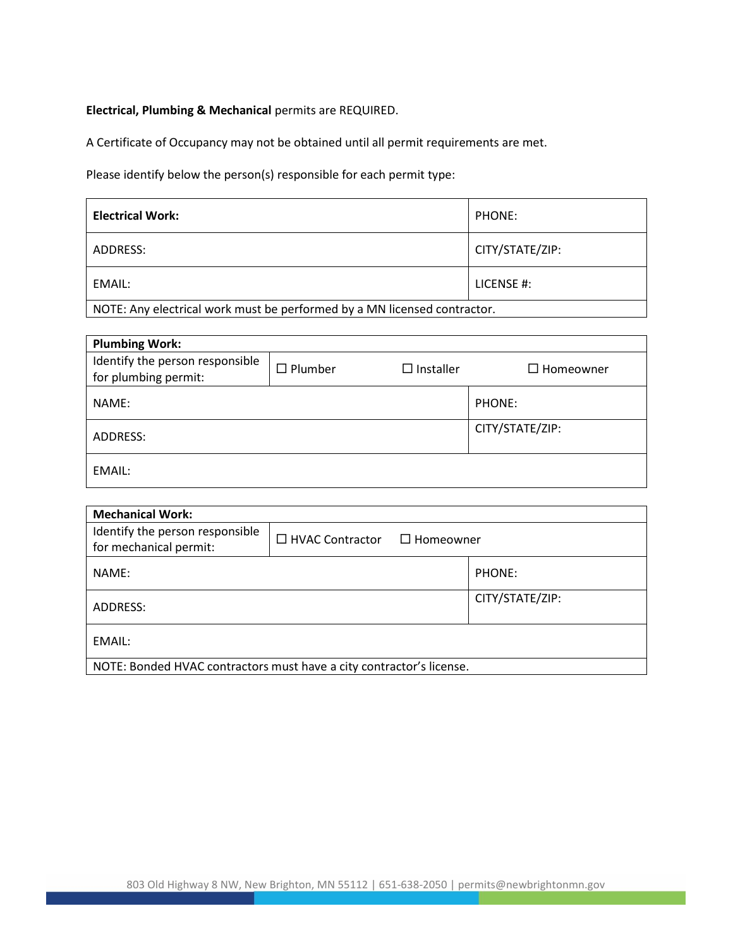## **Electrical, Plumbing & Mechanical** permits are REQUIRED.

A Certificate of Occupancy may not be obtained until all permit requirements are met.

Please identify below the person(s) responsible for each permit type:

| <b>Electrical Work:</b>                                                  | PHONE:          |  |
|--------------------------------------------------------------------------|-----------------|--|
| ADDRESS:                                                                 | CITY/STATE/ZIP: |  |
| EMAIL:                                                                   | LICENSE #:      |  |
| NOTE: Any electrical work must be performed by a MN licensed contractor. |                 |  |

| <b>Plumbing Work:</b>                                   |                |                  |                  |  |  |
|---------------------------------------------------------|----------------|------------------|------------------|--|--|
| Identify the person responsible<br>for plumbing permit: | $\Box$ Plumber | $\Box$ Installer | $\Box$ Homeowner |  |  |
| NAME:                                                   |                |                  | PHONE:           |  |  |
| ADDRESS:                                                |                |                  | CITY/STATE/ZIP:  |  |  |
| EMAIL:                                                  |                |                  |                  |  |  |

| <b>Mechanical Work:</b>                                              |                                            |  |  |  |  |
|----------------------------------------------------------------------|--------------------------------------------|--|--|--|--|
| Identify the person responsible<br>for mechanical permit:            | $\Box$ HVAC Contractor<br>$\Box$ Homeowner |  |  |  |  |
| NAME:<br>PHONE:                                                      |                                            |  |  |  |  |
| ADDRESS:                                                             | CITY/STATE/ZIP:                            |  |  |  |  |
| EMAIL:                                                               |                                            |  |  |  |  |
| NOTE: Bonded HVAC contractors must have a city contractor's license. |                                            |  |  |  |  |